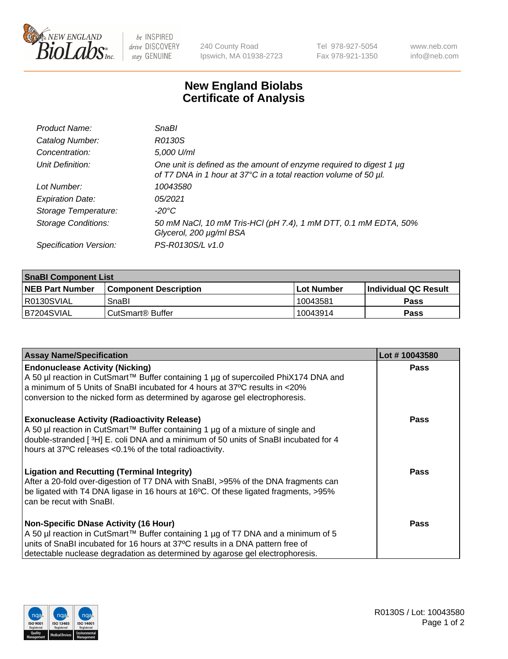

 $be$  INSPIRED drive DISCOVERY stay GENUINE

240 County Road Ipswich, MA 01938-2723 Tel 978-927-5054 Fax 978-921-1350 www.neb.com info@neb.com

## **New England Biolabs Certificate of Analysis**

| Product Name:              | <b>SnaBl</b>                                                                                                                            |
|----------------------------|-----------------------------------------------------------------------------------------------------------------------------------------|
| Catalog Number:            | R0130S                                                                                                                                  |
| Concentration:             | 5,000 U/ml                                                                                                                              |
| Unit Definition:           | One unit is defined as the amount of enzyme required to digest 1 µg<br>of T7 DNA in 1 hour at 37°C in a total reaction volume of 50 µl. |
| Lot Number:                | 10043580                                                                                                                                |
| <b>Expiration Date:</b>    | 05/2021                                                                                                                                 |
| Storage Temperature:       | $-20^{\circ}$ C                                                                                                                         |
| <b>Storage Conditions:</b> | 50 mM NaCl, 10 mM Tris-HCl (pH 7.4), 1 mM DTT, 0.1 mM EDTA, 50%<br>Glycerol, 200 µg/ml BSA                                              |
| Specification Version:     | PS-R0130S/L v1.0                                                                                                                        |

| <b>SnaBI Component List</b> |                         |              |                             |  |
|-----------------------------|-------------------------|--------------|-----------------------------|--|
| <b>NEB Part Number</b>      | l Component Description | l Lot Number | <b>Individual QC Result</b> |  |
| R0130SVIAL                  | SnaBl                   | 10043581     | Pass                        |  |
| B7204SVIAL                  | l CutSmart® Buffer_     | 10043914     | Pass                        |  |

| <b>Assay Name/Specification</b>                                                                                                                                                                                                                                                                      | Lot #10043580 |
|------------------------------------------------------------------------------------------------------------------------------------------------------------------------------------------------------------------------------------------------------------------------------------------------------|---------------|
| <b>Endonuclease Activity (Nicking)</b><br>A 50 µl reaction in CutSmart™ Buffer containing 1 µg of supercoiled PhiX174 DNA and<br>a minimum of 5 Units of SnaBI incubated for 4 hours at 37°C results in <20%<br>conversion to the nicked form as determined by agarose gel electrophoresis.          | <b>Pass</b>   |
| <b>Exonuclease Activity (Radioactivity Release)</b><br>A 50 µl reaction in CutSmart™ Buffer containing 1 µg of a mixture of single and<br>double-stranded [3H] E. coli DNA and a minimum of 50 units of SnaBI incubated for 4<br>hours at 37°C releases <0.1% of the total radioactivity.            | <b>Pass</b>   |
| <b>Ligation and Recutting (Terminal Integrity)</b><br>After a 20-fold over-digestion of T7 DNA with SnaBI, >95% of the DNA fragments can<br>be ligated with T4 DNA ligase in 16 hours at 16°C. Of these ligated fragments, >95%<br>can be recut with SnaBI.                                          | Pass          |
| <b>Non-Specific DNase Activity (16 Hour)</b><br>A 50 µl reaction in CutSmart™ Buffer containing 1 µg of T7 DNA and a minimum of 5<br>units of SnaBI incubated for 16 hours at 37°C results in a DNA pattern free of<br>detectable nuclease degradation as determined by agarose gel electrophoresis. | Pass          |